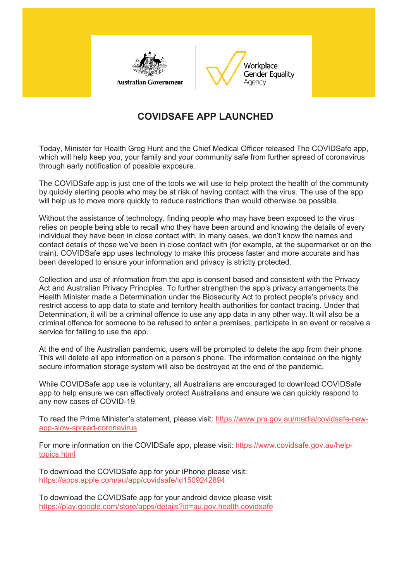



## **COVIDSAFE APP LAUNCHED**

Today, Minister for Health Greg Hunt and the Chief Medical Officer released The COVIDSafe app, which will help keep you, your family and your community safe from further spread of coronavirus through early notification of possible exposure.

The COVIDSafe app is just one of the tools we will use to help protect the health of the community by quickly alerting people who may be at risk of having contact with the virus. The use of the app will help us to move more quickly to reduce restrictions than would otherwise be possible.

Without the assistance of technology, finding people who may have been exposed to the virus relies on people being able to recall who they have been around and knowing the details of every individual they have been in close contact with. In many cases, we don't know the names and contact details of those we've been in close contact with (for example, at the supermarket or on the train). COVIDSafe app uses technology to make this process faster and more accurate and has been developed to ensure your information and privacy is strictly protected.

Collection and use of information from the app is consent based and consistent with the Privacy Act and Australian Privacy Principles. To further strengthen the app's privacy arrangements the Health Minister made a Determination under the Biosecurity Act to protect people's privacy and restrict access to app data to state and territory health authorities for contact tracing. Under that Determination, it will be a criminal offence to use any app data in any other way. It will also be a criminal offence for someone to be refused to enter a premises, participate in an event or receive a service for failing to use the app.

At the end of the Australian pandemic, users will be prompted to delete the app from their phone. This will delete all app information on a person's phone. The information contained on the highly secure information storage system will also be destroyed at the end of the pandemic.

While COVIDSafe app use is voluntary, all Australians are encouraged to download COVIDSafe app to help ensure we can effectively protect Australians and ensure we can quickly respond to any new cases of COVID-19.

To read the Prime Minister's statement, please visit: [https://www.pm.gov.au/media/covidsafe-new](https://wgea.us3.list-manage.com/track/click?u=b321f4c871f30e1d6fb6baa71&id=0dc54e3374&e=a250d6124e)[app-slow-spread-coronavirus](https://wgea.us3.list-manage.com/track/click?u=b321f4c871f30e1d6fb6baa71&id=0dc54e3374&e=a250d6124e)

For more information on the COVIDSafe app, please visit: [https://www.covidsafe.gov.au/help](https://wgea.us3.list-manage.com/track/click?u=b321f4c871f30e1d6fb6baa71&id=384a9c4230&e=a250d6124e)[topics.html](https://wgea.us3.list-manage.com/track/click?u=b321f4c871f30e1d6fb6baa71&id=384a9c4230&e=a250d6124e)

To download the COVIDSafe app for your iPhone please visit: [https://apps.apple.com/au/app/covidsafe/id1509242894](https://wgea.us3.list-manage.com/track/click?u=b321f4c871f30e1d6fb6baa71&id=34f56a8c50&e=a250d6124e)

To download the COVIDSafe app for your android device please visit: [https://play.google.com/store/apps/details?id=au.gov.health.covidsafe](https://wgea.us3.list-manage.com/track/click?u=b321f4c871f30e1d6fb6baa71&id=748beb82b7&e=a250d6124e)